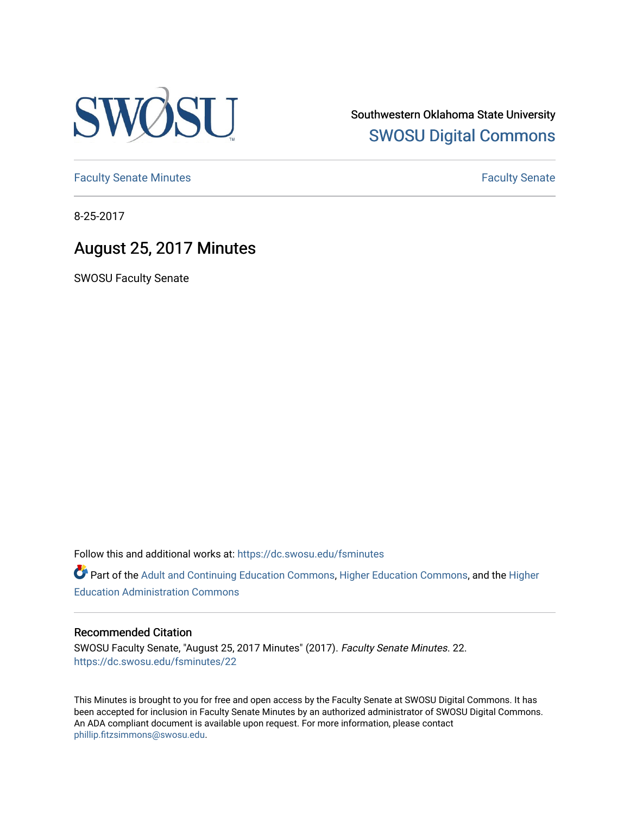

Southwestern Oklahoma State University [SWOSU Digital Commons](https://dc.swosu.edu/) 

[Faculty Senate Minutes](https://dc.swosu.edu/fsminutes) **Faculty** Senate Minutes

8-25-2017

# August 25, 2017 Minutes

SWOSU Faculty Senate

Follow this and additional works at: [https://dc.swosu.edu/fsminutes](https://dc.swosu.edu/fsminutes?utm_source=dc.swosu.edu%2Ffsminutes%2F22&utm_medium=PDF&utm_campaign=PDFCoverPages) 

Part of the [Adult and Continuing Education Commons,](http://network.bepress.com/hgg/discipline/1375?utm_source=dc.swosu.edu%2Ffsminutes%2F22&utm_medium=PDF&utm_campaign=PDFCoverPages) [Higher Education Commons,](http://network.bepress.com/hgg/discipline/1245?utm_source=dc.swosu.edu%2Ffsminutes%2F22&utm_medium=PDF&utm_campaign=PDFCoverPages) and the [Higher](http://network.bepress.com/hgg/discipline/791?utm_source=dc.swosu.edu%2Ffsminutes%2F22&utm_medium=PDF&utm_campaign=PDFCoverPages) [Education Administration Commons](http://network.bepress.com/hgg/discipline/791?utm_source=dc.swosu.edu%2Ffsminutes%2F22&utm_medium=PDF&utm_campaign=PDFCoverPages) 

#### Recommended Citation

SWOSU Faculty Senate, "August 25, 2017 Minutes" (2017). Faculty Senate Minutes. 22. [https://dc.swosu.edu/fsminutes/22](https://dc.swosu.edu/fsminutes/22?utm_source=dc.swosu.edu%2Ffsminutes%2F22&utm_medium=PDF&utm_campaign=PDFCoverPages) 

This Minutes is brought to you for free and open access by the Faculty Senate at SWOSU Digital Commons. It has been accepted for inclusion in Faculty Senate Minutes by an authorized administrator of SWOSU Digital Commons. An ADA compliant document is available upon request. For more information, please contact [phillip.fitzsimmons@swosu.edu](mailto:phillip.fitzsimmons@swosu.edu).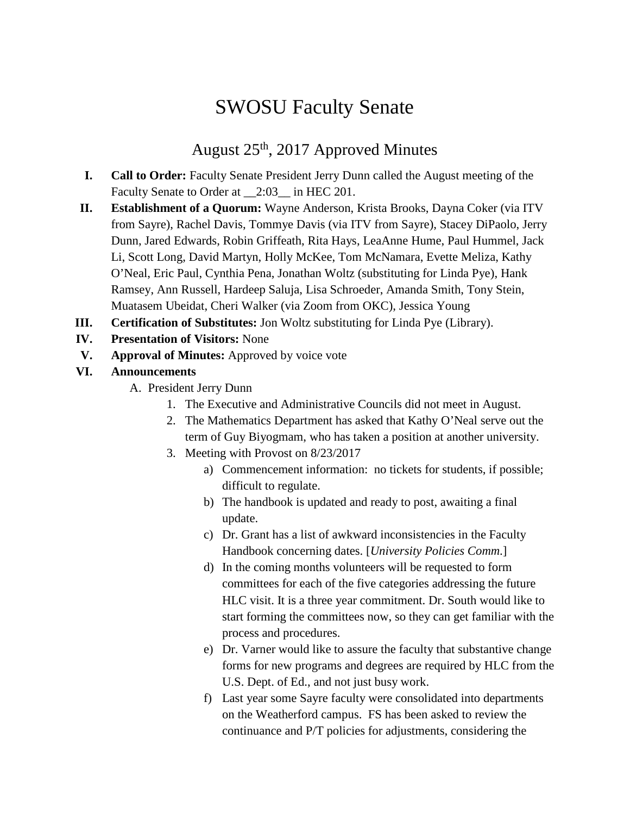# SWOSU Faculty Senate

## August 25th, 2017 Approved Minutes

- **I. Call to Order:** Faculty Senate President Jerry Dunn called the August meeting of the Faculty Senate to Order at  $\_\$ {2:03\\_\} in HEC 201.
- **II. Establishment of a Quorum:** Wayne Anderson, Krista Brooks, Dayna Coker (via ITV from Sayre), Rachel Davis, Tommye Davis (via ITV from Sayre), Stacey DiPaolo, Jerry Dunn, Jared Edwards, Robin Griffeath, Rita Hays, LeaAnne Hume, Paul Hummel, Jack Li, Scott Long, David Martyn, Holly McKee, Tom McNamara, Evette Meliza, Kathy O'Neal, Eric Paul, Cynthia Pena, Jonathan Woltz (substituting for Linda Pye), Hank Ramsey, Ann Russell, Hardeep Saluja, Lisa Schroeder, Amanda Smith, Tony Stein, Muatasem Ubeidat, Cheri Walker (via Zoom from OKC), Jessica Young
- **III. Certification of Substitutes:** Jon Woltz substituting for Linda Pye (Library).
- **IV. Presentation of Visitors:** None
- **V. Approval of Minutes:** Approved by voice vote

#### **VI. Announcements**

- A. President Jerry Dunn
	- 1. The Executive and Administrative Councils did not meet in August.
	- 2. The Mathematics Department has asked that Kathy O'Neal serve out the term of Guy Biyogmam, who has taken a position at another university.
	- 3. Meeting with Provost on 8/23/2017
		- a) Commencement information: no tickets for students, if possible; difficult to regulate.
		- b) The handbook is updated and ready to post, awaiting a final update.
		- c) Dr. Grant has a list of awkward inconsistencies in the Faculty Handbook concerning dates. [*University Policies Comm*.]
		- d) In the coming months volunteers will be requested to form committees for each of the five categories addressing the future HLC visit. It is a three year commitment. Dr. South would like to start forming the committees now, so they can get familiar with the process and procedures.
		- e) Dr. Varner would like to assure the faculty that substantive change forms for new programs and degrees are required by HLC from the U.S. Dept. of Ed., and not just busy work.
		- f) Last year some Sayre faculty were consolidated into departments on the Weatherford campus. FS has been asked to review the continuance and P/T policies for adjustments, considering the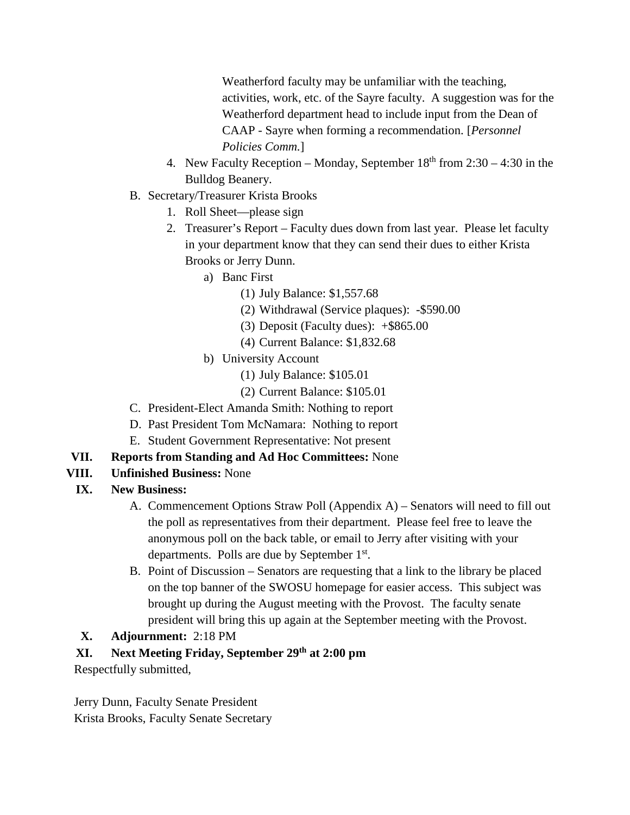Weatherford faculty may be unfamiliar with the teaching, activities, work, etc. of the Sayre faculty. A suggestion was for the Weatherford department head to include input from the Dean of CAAP - Sayre when forming a recommendation. [*Personnel Policies Comm.*]

- 4. New Faculty Reception Monday, September  $18<sup>th</sup>$  from  $2:30 4:30$  in the Bulldog Beanery.
- B. Secretary/Treasurer Krista Brooks
	- 1. Roll Sheet—please sign
	- 2. Treasurer's Report Faculty dues down from last year. Please let faculty in your department know that they can send their dues to either Krista Brooks or Jerry Dunn.
		- a) Banc First
			- (1) July Balance: \$1,557.68
			- (2) Withdrawal (Service plaques): -\$590.00
			- (3) Deposit (Faculty dues): +\$865.00
			- (4) Current Balance: \$1,832.68
		- b) University Account
			- (1) July Balance: \$105.01
			- (2) Current Balance: \$105.01
- C. President-Elect Amanda Smith: Nothing to report
- D. Past President Tom McNamara: Nothing to report
- E. Student Government Representative: Not present
- **VII. Reports from Standing and Ad Hoc Committees:** None
- **VIII. Unfinished Business:** None

## **IX. New Business:**

- A. Commencement Options Straw Poll (Appendix A) Senators will need to fill out the poll as representatives from their department. Please feel free to leave the anonymous poll on the back table, or email to Jerry after visiting with your departments. Polls are due by September 1<sup>st</sup>.
- B. Point of Discussion Senators are requesting that a link to the library be placed on the top banner of the SWOSU homepage for easier access. This subject was brought up during the August meeting with the Provost. The faculty senate president will bring this up again at the September meeting with the Provost.

#### **X. Adjournment:** 2:18 PM

## **XI. Next Meeting Friday, September 29th at 2:00 pm**

Respectfully submitted,

Jerry Dunn, Faculty Senate President Krista Brooks, Faculty Senate Secretary